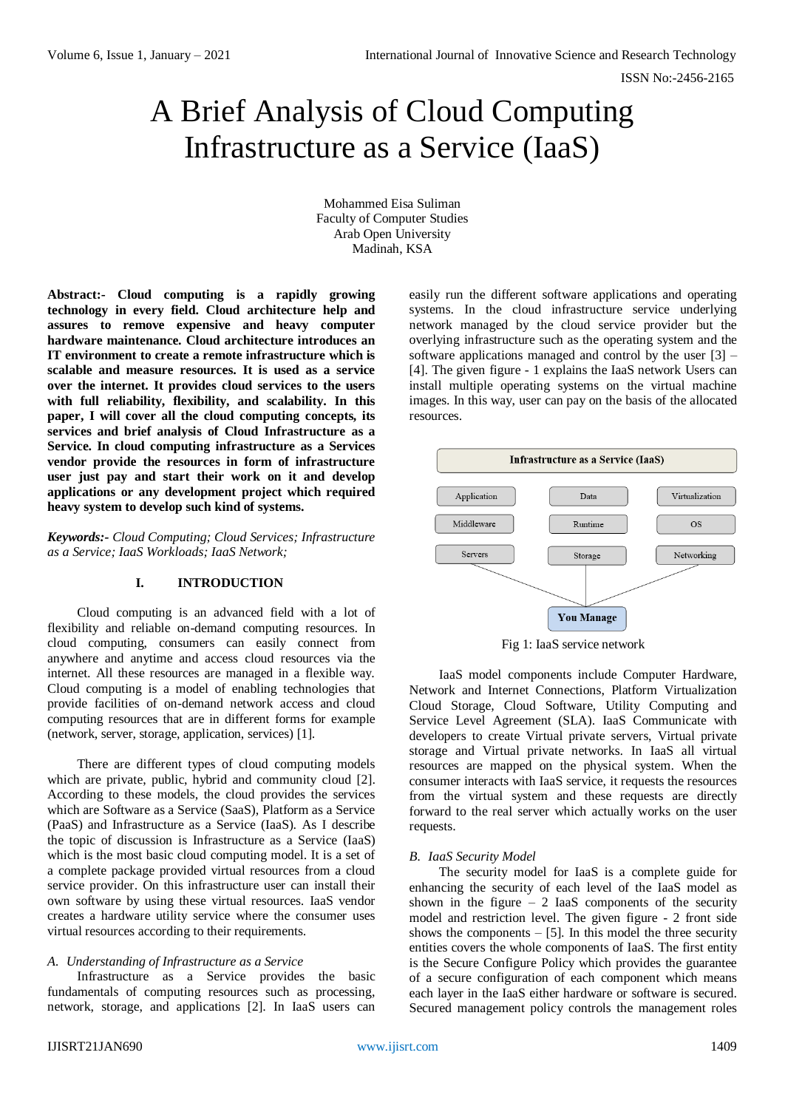# A Brief Analysis of Cloud Computing Infrastructure as a Service (IaaS)

Mohammed Eisa Suliman Faculty of Computer Studies Arab Open University Madinah, KSA

**Abstract:- Cloud computing is a rapidly growing technology in every field. Cloud architecture help and assures to remove expensive and heavy computer hardware maintenance. Cloud architecture introduces an IT environment to create a remote infrastructure which is scalable and measure resources. It is used as a service over the internet. It provides cloud services to the users with full reliability, flexibility, and scalability. In this paper, I will cover all the cloud computing concepts, its services and brief analysis of Cloud Infrastructure as a Service. In cloud computing infrastructure as a Services vendor provide the resources in form of infrastructure user just pay and start their work on it and develop applications or any development project which required heavy system to develop such kind of systems.**

*Keywords:- Cloud Computing; Cloud Services; Infrastructure as a Service; IaaS Workloads; IaaS Network;*

# **I. INTRODUCTION**

Cloud computing is an advanced field with a lot of flexibility and reliable on-demand computing resources. In cloud computing, consumers can easily connect from anywhere and anytime and access cloud resources via the internet. All these resources are managed in a flexible way. Cloud computing is a model of enabling technologies that provide facilities of on-demand network access and cloud computing resources that are in different forms for example (network, server, storage, application, services) [1].

There are different types of cloud computing models which are private, public, hybrid and community cloud [2]. According to these models, the cloud provides the services which are Software as a Service (SaaS), Platform as a Service (PaaS) and Infrastructure as a Service (IaaS). As I describe the topic of discussion is Infrastructure as a Service (IaaS) which is the most basic cloud computing model. It is a set of a complete package provided virtual resources from a cloud service provider. On this infrastructure user can install their own software by using these virtual resources. IaaS vendor creates a hardware utility service where the consumer uses virtual resources according to their requirements.

## *A. Understanding of Infrastructure as a Service*

Infrastructure as a Service provides the basic fundamentals of computing resources such as processing, network, storage, and applications [2]. In IaaS users can easily run the different software applications and operating systems. In the cloud infrastructure service underlying network managed by the cloud service provider but the overlying infrastructure such as the operating system and the software applications managed and control by the user [3] – [4]. The given figure - 1 explains the IaaS network Users can install multiple operating systems on the virtual machine images. In this way, user can pay on the basis of the allocated resources.



Fig 1: IaaS service network

IaaS model components include Computer Hardware, Network and Internet Connections, Platform Virtualization Cloud Storage, Cloud Software, Utility Computing and Service Level Agreement (SLA). IaaS Communicate with developers to create Virtual private servers, Virtual private storage and Virtual private networks. In IaaS all virtual resources are mapped on the physical system. When the consumer interacts with IaaS service, it requests the resources from the virtual system and these requests are directly forward to the real server which actually works on the user requests.

#### *B. IaaS Security Model*

The security model for IaaS is a complete guide for enhancing the security of each level of the IaaS model as shown in the figure  $-2$  IaaS components of the security model and restriction level. The given figure - 2 front side shows the components  $-$  [5]. In this model the three security entities covers the whole components of IaaS. The first entity is the Secure Configure Policy which provides the guarantee of a secure configuration of each component which means each layer in the IaaS either hardware or software is secured. Secured management policy controls the management roles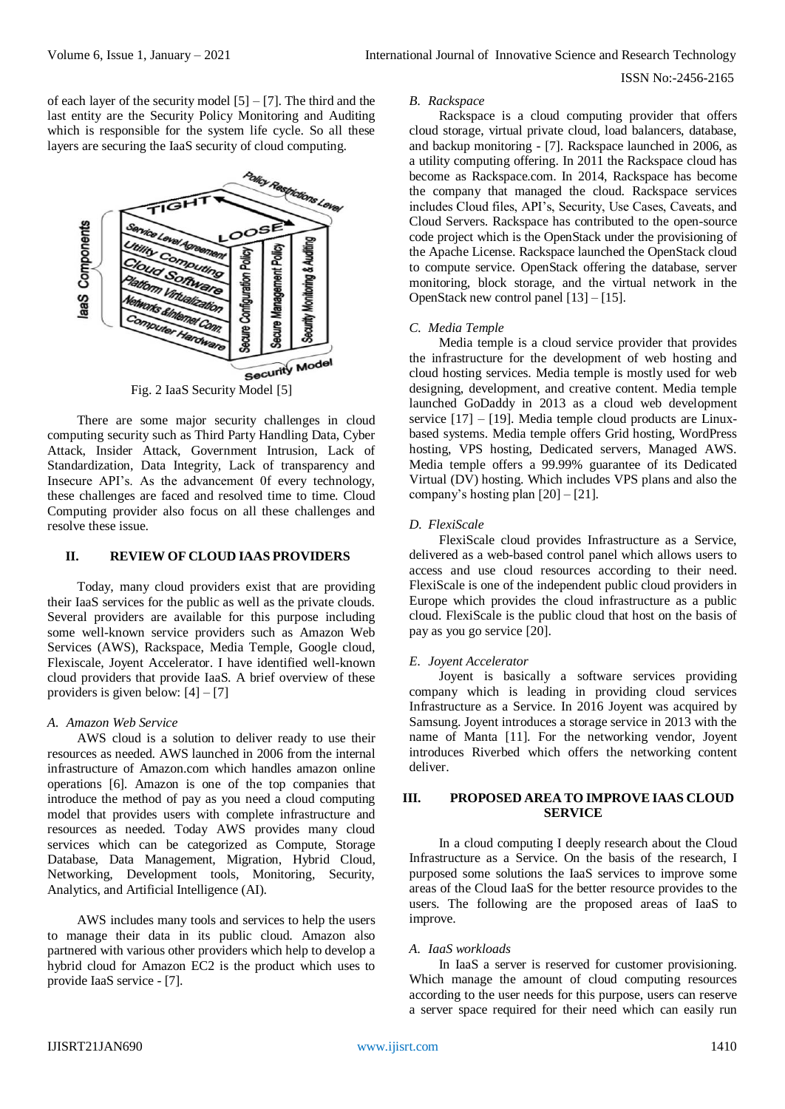of each layer of the security model  $[5] - [7]$ . The third and the last entity are the Security Policy Monitoring and Auditing which is responsible for the system life cycle. So all these layers are securing the IaaS security of cloud computing.



There are some major security challenges in cloud computing security such as Third Party Handling Data, Cyber Attack, Insider Attack, Government Intrusion, Lack of Standardization, Data Integrity, Lack of transparency and Insecure API's. As the advancement 0f every technology, these challenges are faced and resolved time to time. Cloud Computing provider also focus on all these challenges and resolve these issue.

# **II. REVIEW OF CLOUD IAAS PROVIDERS**

Today, many cloud providers exist that are providing their IaaS services for the public as well as the private clouds. Several providers are available for this purpose including some well-known service providers such as Amazon Web Services (AWS), Rackspace, Media Temple, Google cloud, Flexiscale, Joyent Accelerator. I have identified well-known cloud providers that provide IaaS. A brief overview of these providers is given below:  $[4] - [7]$ 

#### *A. Amazon Web Service*

AWS cloud is a solution to deliver ready to use their resources as needed. AWS launched in 2006 from the internal infrastructure of Amazon.com which handles amazon online operations [6]. Amazon is one of the top companies that introduce the method of pay as you need a cloud computing model that provides users with complete infrastructure and resources as needed. Today AWS provides many cloud services which can be categorized as Compute, Storage Database, Data Management, Migration, Hybrid Cloud, Networking, Development tools, Monitoring, Security, Analytics, and Artificial Intelligence (AI).

AWS includes many tools and services to help the users to manage their data in its public cloud. Amazon also partnered with various other providers which help to develop a hybrid cloud for Amazon EC2 is the product which uses to provide IaaS service - [7].

#### *B. Rackspace*

Rackspace is a cloud computing provider that offers cloud storage, virtual private cloud, load balancers, database, and backup monitoring - [7]. Rackspace launched in 2006, as a utility computing offering. In 2011 the Rackspace cloud has become as Rackspace.com. In 2014, Rackspace has become the company that managed the cloud. Rackspace services includes Cloud files, API's, Security, Use Cases, Caveats, and Cloud Servers. Rackspace has contributed to the open-source code project which is the OpenStack under the provisioning of the Apache License. Rackspace launched the OpenStack cloud to compute service. OpenStack offering the database, server monitoring, block storage, and the virtual network in the OpenStack new control panel [13] – [15].

## *C. Media Temple*

Media temple is a cloud service provider that provides the infrastructure for the development of web hosting and cloud hosting services. Media temple is mostly used for web designing, development, and creative content. Media temple launched GoDaddy in 2013 as a cloud web development service  $[17] - [19]$ . Media temple cloud products are Linuxbased systems. Media temple offers Grid hosting, WordPress hosting, VPS hosting, Dedicated servers, Managed AWS. Media temple offers a 99.99% guarantee of its Dedicated Virtual (DV) hosting. Which includes VPS plans and also the company's hosting plan  $[20] - [21]$ .

## *D. FlexiScale*

FlexiScale cloud provides Infrastructure as a Service, delivered as a web-based control panel which allows users to access and use cloud resources according to their need. FlexiScale is one of the independent public cloud providers in Europe which provides the cloud infrastructure as a public cloud. FlexiScale is the public cloud that host on the basis of pay as you go service [20].

#### *E. Joyent Accelerator*

Joyent is basically a software services providing company which is leading in providing cloud services Infrastructure as a Service. In 2016 Joyent was acquired by Samsung. Joyent introduces a storage service in 2013 with the name of Manta [11]. For the networking vendor, Joyent introduces Riverbed which offers the networking content deliver.

# **III. PROPOSED AREA TO IMPROVE IAAS CLOUD SERVICE**

In a cloud computing I deeply research about the Cloud Infrastructure as a Service. On the basis of the research, I purposed some solutions the IaaS services to improve some areas of the Cloud IaaS for the better resource provides to the users. The following are the proposed areas of IaaS to improve.

#### *A. IaaS workloads*

In IaaS a server is reserved for customer provisioning. Which manage the amount of cloud computing resources according to the user needs for this purpose, users can reserve a server space required for their need which can easily run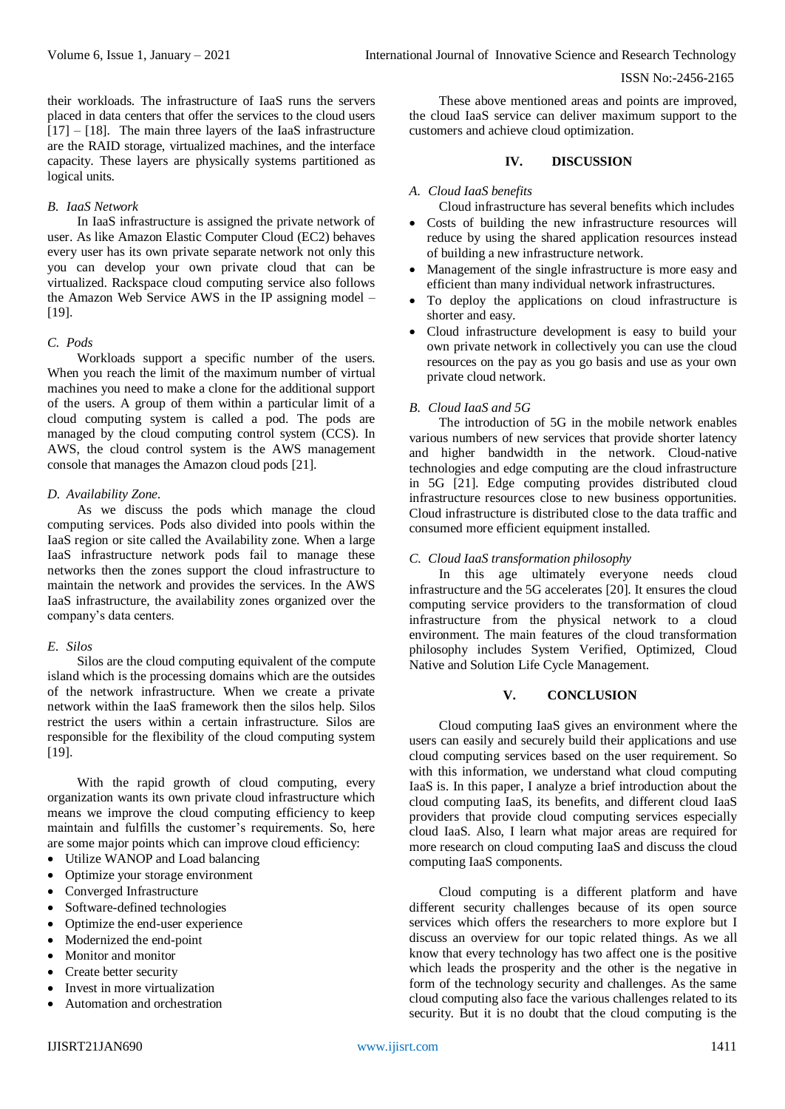their workloads. The infrastructure of IaaS runs the servers placed in data centers that offer the services to the cloud users [17] – [18]. The main three layers of the IaaS infrastructure are the RAID storage, virtualized machines, and the interface capacity. These layers are physically systems partitioned as logical units.

# *B. IaaS Network*

In IaaS infrastructure is assigned the private network of user. As like Amazon Elastic Computer Cloud (EC2) behaves every user has its own private separate network not only this you can develop your own private cloud that can be virtualized. Rackspace cloud computing service also follows the Amazon Web Service AWS in the IP assigning model – [19].

## *C. Pods*

Workloads support a specific number of the users. When you reach the limit of the maximum number of virtual machines you need to make a clone for the additional support of the users. A group of them within a particular limit of a cloud computing system is called a pod. The pods are managed by the cloud computing control system (CCS). In AWS, the cloud control system is the AWS management console that manages the Amazon cloud pods [21].

## *D. Availability Zone.*

As we discuss the pods which manage the cloud computing services. Pods also divided into pools within the IaaS region or site called the Availability zone. When a large IaaS infrastructure network pods fail to manage these networks then the zones support the cloud infrastructure to maintain the network and provides the services. In the AWS IaaS infrastructure, the availability zones organized over the company's data centers.

# *E. Silos*

Silos are the cloud computing equivalent of the compute island which is the processing domains which are the outsides of the network infrastructure. When we create a private network within the IaaS framework then the silos help. Silos restrict the users within a certain infrastructure. Silos are responsible for the flexibility of the cloud computing system [19].

With the rapid growth of cloud computing, every organization wants its own private cloud infrastructure which means we improve the cloud computing efficiency to keep maintain and fulfills the customer's requirements. So, here are some major points which can improve cloud efficiency:

- Utilize WANOP and Load balancing
- Optimize your storage environment
- Converged Infrastructure
- Software-defined technologies
- Optimize the end-user experience
- Modernized the end-point
- Monitor and monitor
- Create better security
- Invest in more virtualization
- Automation and orchestration

These above mentioned areas and points are improved, the cloud IaaS service can deliver maximum support to the customers and achieve cloud optimization.

# **IV. DISCUSSION**

## *A. Cloud IaaS benefits*

Cloud infrastructure has several benefits which includes

- Costs of building the new infrastructure resources will reduce by using the shared application resources instead of building a new infrastructure network.
- Management of the single infrastructure is more easy and efficient than many individual network infrastructures.
- To deploy the applications on cloud infrastructure is shorter and easy.
- Cloud infrastructure development is easy to build your own private network in collectively you can use the cloud resources on the pay as you go basis and use as your own private cloud network.

# *B. Cloud IaaS and 5G*

The introduction of 5G in the mobile network enables various numbers of new services that provide shorter latency and higher bandwidth in the network. Cloud-native technologies and edge computing are the cloud infrastructure in 5G [21]. Edge computing provides distributed cloud infrastructure resources close to new business opportunities. Cloud infrastructure is distributed close to the data traffic and consumed more efficient equipment installed.

# *C. Cloud IaaS transformation philosophy*

In this age ultimately everyone needs cloud infrastructure and the 5G accelerates [20]. It ensures the cloud computing service providers to the transformation of cloud infrastructure from the physical network to a cloud environment. The main features of the cloud transformation philosophy includes System Verified, Optimized, Cloud Native and Solution Life Cycle Management.

#### **V. CONCLUSION**

Cloud computing IaaS gives an environment where the users can easily and securely build their applications and use cloud computing services based on the user requirement. So with this information, we understand what cloud computing IaaS is. In this paper, I analyze a brief introduction about the cloud computing IaaS, its benefits, and different cloud IaaS providers that provide cloud computing services especially cloud IaaS. Also, I learn what major areas are required for more research on cloud computing IaaS and discuss the cloud computing IaaS components.

Cloud computing is a different platform and have different security challenges because of its open source services which offers the researchers to more explore but I discuss an overview for our topic related things. As we all know that every technology has two affect one is the positive which leads the prosperity and the other is the negative in form of the technology security and challenges. As the same cloud computing also face the various challenges related to its security. But it is no doubt that the cloud computing is the